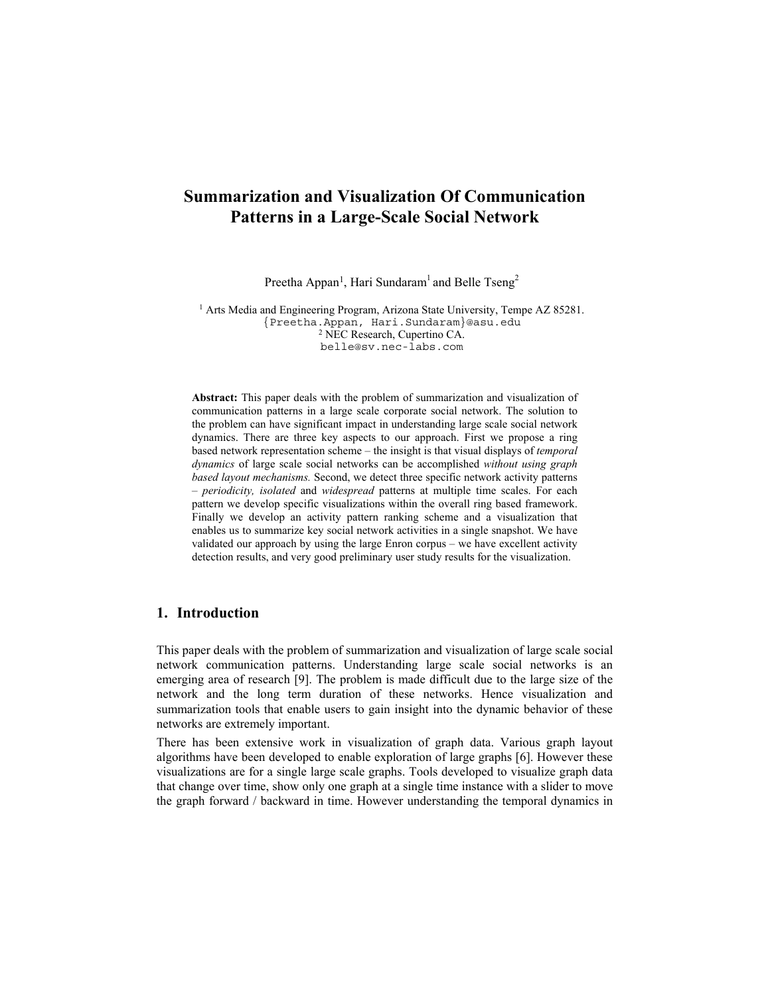# **Summarization and Visualization Of Communication Patterns in a Large-Scale Social Network**

Preetha Appan<sup>1</sup>, Hari Sundaram<sup>1</sup> and Belle Tseng<sup>2</sup>

<sup>1</sup> Arts Media and Engineering Program, Arizona State University, Tempe AZ 85281. {Preetha.Appan, Hari.Sundaram}@asu.edu 2 NEC Research, Cupertino CA. belle@sv.nec-labs.com

**Abstract:** This paper deals with the problem of summarization and visualization of communication patterns in a large scale corporate social network. The solution to the problem can have significant impact in understanding large scale social network dynamics. There are three key aspects to our approach. First we propose a ring based network representation scheme – the insight is that visual displays of *temporal dynamics* of large scale social networks can be accomplished *without using graph based layout mechanisms.* Second, we detect three specific network activity patterns – *periodicity, isolated* and *widespread* patterns at multiple time scales. For each pattern we develop specific visualizations within the overall ring based framework. Finally we develop an activity pattern ranking scheme and a visualization that enables us to summarize key social network activities in a single snapshot. We have validated our approach by using the large Enron corpus – we have excellent activity detection results, and very good preliminary user study results for the visualization.

### **1. Introduction**

This paper deals with the problem of summarization and visualization of large scale social network communication patterns. Understanding large scale social networks is an emerging area of research [9]. The problem is made difficult due to the large size of the network and the long term duration of these networks. Hence visualization and summarization tools that enable users to gain insight into the dynamic behavior of these networks are extremely important.

There has been extensive work in visualization of graph data. Various graph layout algorithms have been developed to enable exploration of large graphs [6]. However these visualizations are for a single large scale graphs. Tools developed to visualize graph data that change over time, show only one graph at a single time instance with a slider to move the graph forward / backward in time. However understanding the temporal dynamics in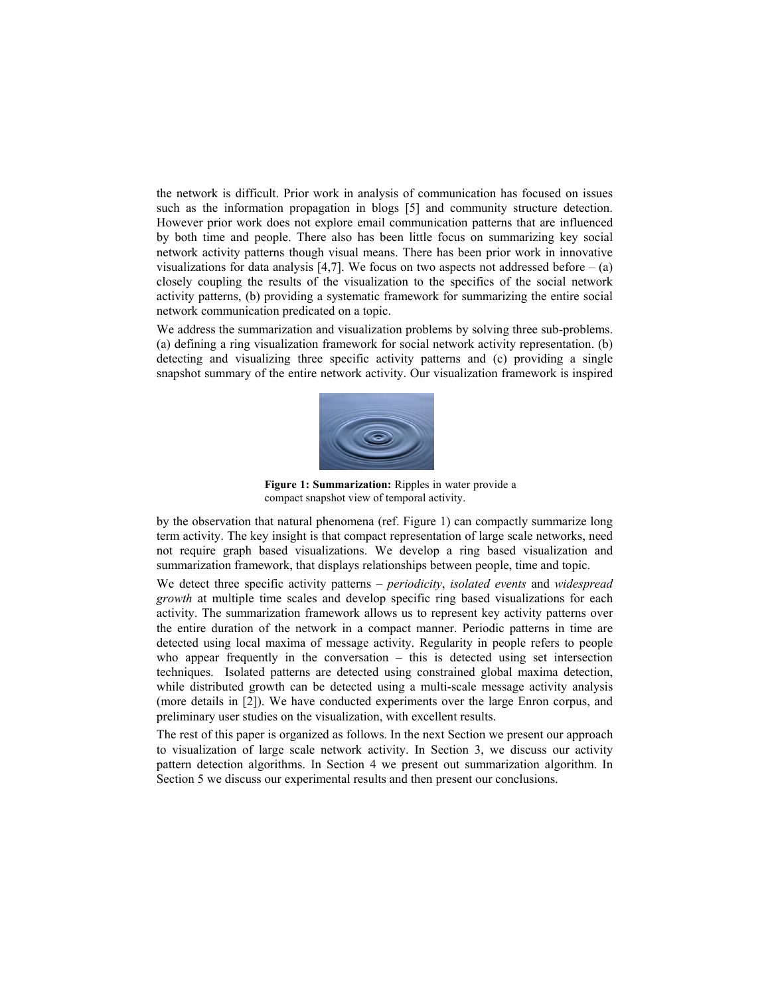the network is difficult. Prior work in analysis of communication has focused on issues such as the information propagation in blogs [5] and community structure detection. However prior work does not explore email communication patterns that are influenced by both time and people. There also has been little focus on summarizing key social network activity patterns though visual means. There has been prior work in innovative visualizations for data analysis [4,7]. We focus on two aspects not addressed before  $-$  (a) closely coupling the results of the visualization to the specifics of the social network activity patterns, (b) providing a systematic framework for summarizing the entire social network communication predicated on a topic.

We address the summarization and visualization problems by solving three sub-problems. (a) defining a ring visualization framework for social network activity representation. (b) detecting and visualizing three specific activity patterns and (c) providing a single snapshot summary of the entire network activity. Our visualization framework is inspired



**Figure 1: Summarization:** Ripples in water provide a compact snapshot view of temporal activity.

by the observation that natural phenomena (ref. Figure 1) can compactly summarize long term activity. The key insight is that compact representation of large scale networks, need not require graph based visualizations. We develop a ring based visualization and summarization framework, that displays relationships between people, time and topic.

We detect three specific activity patterns – *periodicity*, *isolated events* and *widespread growth* at multiple time scales and develop specific ring based visualizations for each activity. The summarization framework allows us to represent key activity patterns over the entire duration of the network in a compact manner. Periodic patterns in time are detected using local maxima of message activity. Regularity in people refers to people who appear frequently in the conversation – this is detected using set intersection techniques. Isolated patterns are detected using constrained global maxima detection, while distributed growth can be detected using a multi-scale message activity analysis (more details in [2]). We have conducted experiments over the large Enron corpus, and preliminary user studies on the visualization, with excellent results.

The rest of this paper is organized as follows. In the next Section we present our approach to visualization of large scale network activity. In Section 3, we discuss our activity pattern detection algorithms. In Section 4 we present out summarization algorithm. In Section 5 we discuss our experimental results and then present our conclusions.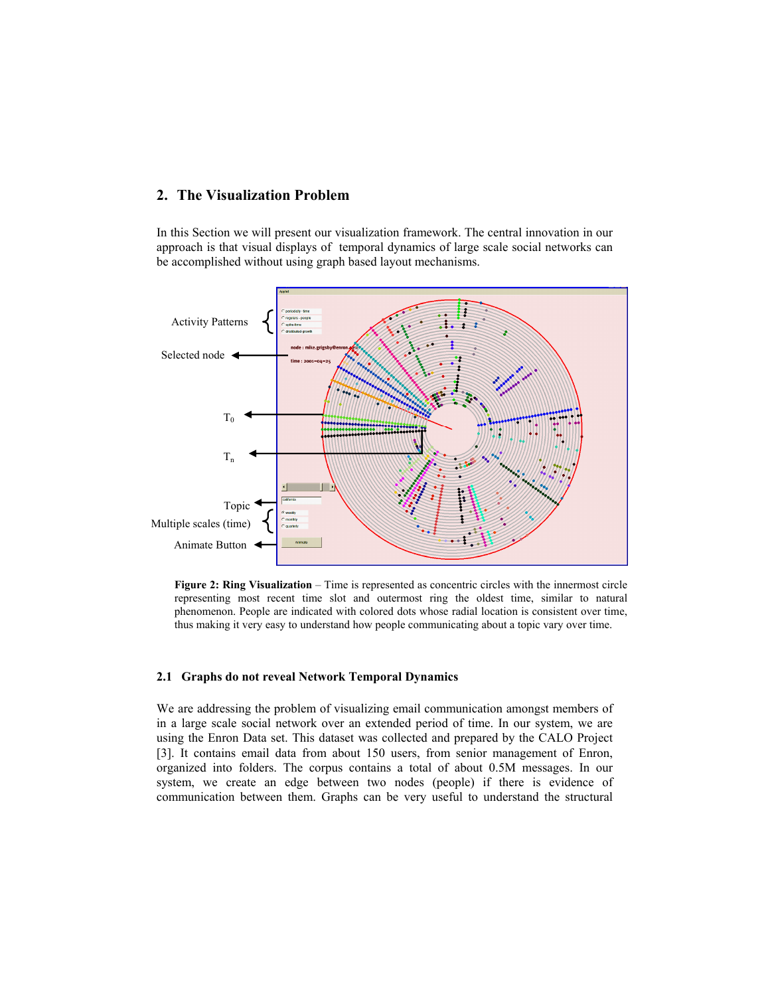# **2. The Visualization Problem**

In this Section we will present our visualization framework. The central innovation in our approach is that visual displays of temporal dynamics of large scale social networks can be accomplished without using graph based layout mechanisms.



**Figure 2: Ring Visualization** – Time is represented as concentric circles with the innermost circle representing most recent time slot and outermost ring the oldest time, similar to natural phenomenon. People are indicated with colored dots whose radial location is consistent over time, thus making it very easy to understand how people communicating about a topic vary over time.

#### **2.1 Graphs do not reveal Network Temporal Dynamics**

We are addressing the problem of visualizing email communication amongst members of in a large scale social network over an extended period of time. In our system, we are using the Enron Data set. This dataset was collected and prepared by the CALO Project [3]. It contains email data from about 150 users, from senior management of Enron, organized into folders. The corpus contains a total of about 0.5M messages. In our system, we create an edge between two nodes (people) if there is evidence of communication between them. Graphs can be very useful to understand the structural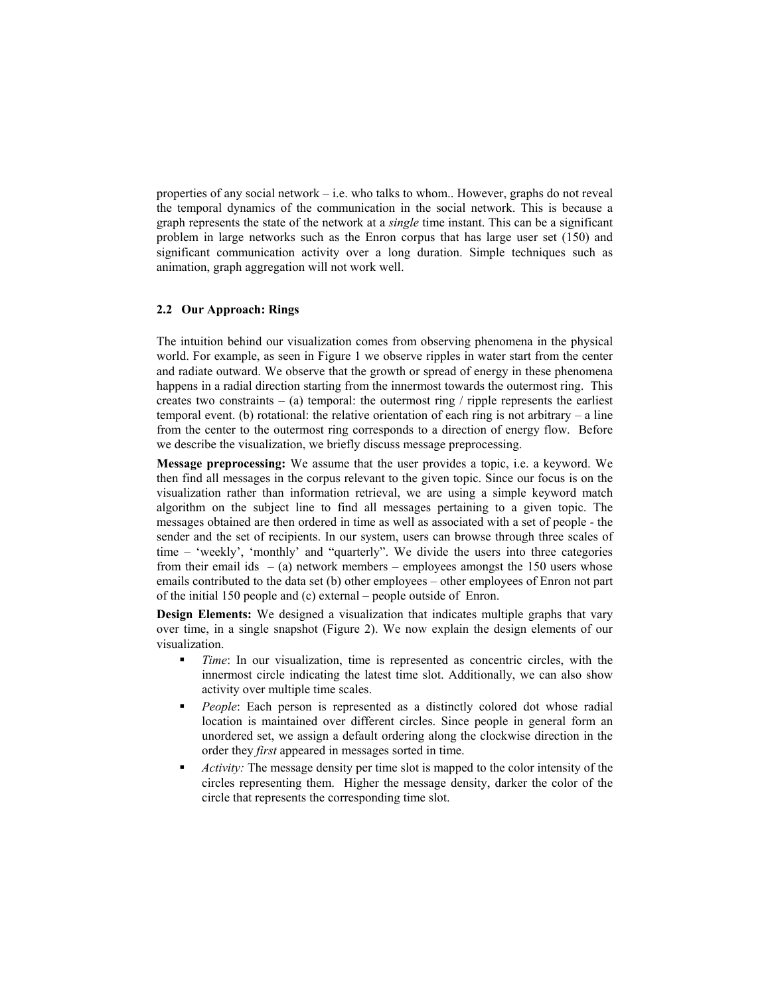properties of any social network – i.e. who talks to whom.. However, graphs do not reveal the temporal dynamics of the communication in the social network. This is because a graph represents the state of the network at a *single* time instant. This can be a significant problem in large networks such as the Enron corpus that has large user set (150) and significant communication activity over a long duration. Simple techniques such as animation, graph aggregation will not work well.

### **2.2 Our Approach: Rings**

The intuition behind our visualization comes from observing phenomena in the physical world. For example, as seen in Figure 1 we observe ripples in water start from the center and radiate outward. We observe that the growth or spread of energy in these phenomena happens in a radial direction starting from the innermost towards the outermost ring. This creates two constraints – (a) temporal: the outermost ring  $/$  ripple represents the earliest temporal event. (b) rotational: the relative orientation of each ring is not arbitrary – a line from the center to the outermost ring corresponds to a direction of energy flow. Before we describe the visualization, we briefly discuss message preprocessing.

**Message preprocessing:** We assume that the user provides a topic, i.e. a keyword. We then find all messages in the corpus relevant to the given topic. Since our focus is on the visualization rather than information retrieval, we are using a simple keyword match algorithm on the subject line to find all messages pertaining to a given topic. The messages obtained are then ordered in time as well as associated with a set of people - the sender and the set of recipients. In our system, users can browse through three scales of time – 'weekly', 'monthly' and "quarterly". We divide the users into three categories from their email ids  $-$  (a) network members – employees amongst the 150 users whose emails contributed to the data set (b) other employees – other employees of Enron not part of the initial 150 people and (c) external – people outside of Enron.

**Design Elements:** We designed a visualization that indicates multiple graphs that vary over time, in a single snapshot (Figure 2). We now explain the design elements of our visualization.

- *Time*: In our visualization, time is represented as concentric circles, with the innermost circle indicating the latest time slot. Additionally, we can also show activity over multiple time scales.
- **People:** Each person is represented as a distinctly colored dot whose radial location is maintained over different circles. Since people in general form an unordered set, we assign a default ordering along the clockwise direction in the order they *first* appeared in messages sorted in time.
- *Activity:* The message density per time slot is mapped to the color intensity of the circles representing them. Higher the message density, darker the color of the circle that represents the corresponding time slot.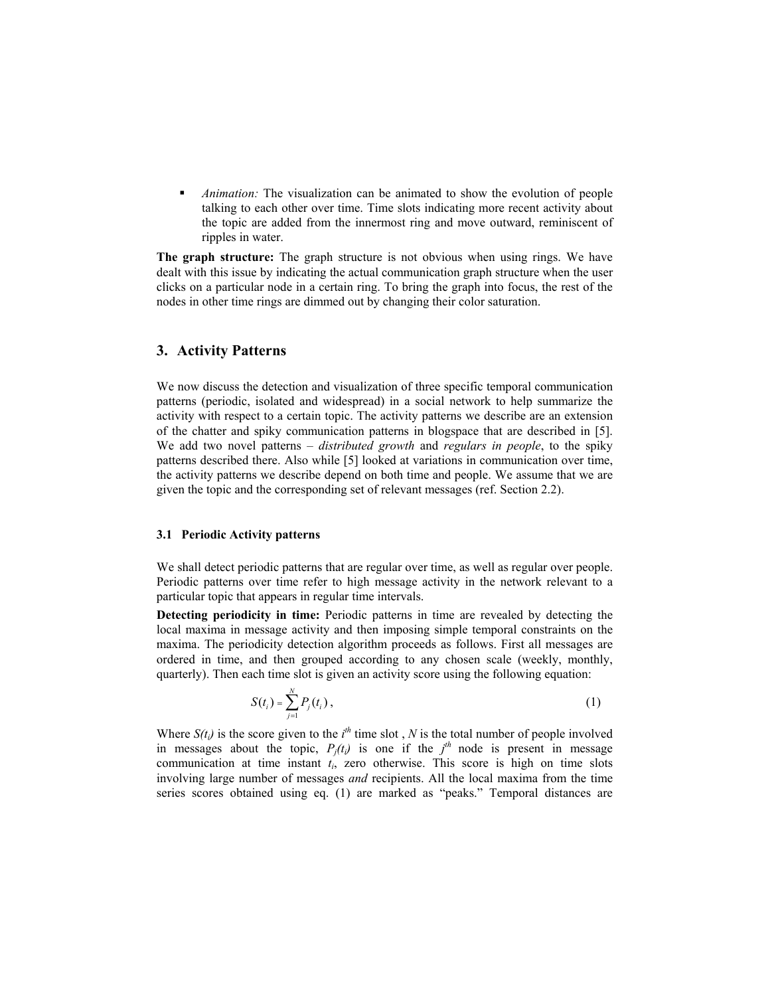*Animation:* The visualization can be animated to show the evolution of people talking to each other over time. Time slots indicating more recent activity about the topic are added from the innermost ring and move outward, reminiscent of ripples in water.

**The graph structure:** The graph structure is not obvious when using rings. We have dealt with this issue by indicating the actual communication graph structure when the user clicks on a particular node in a certain ring. To bring the graph into focus, the rest of the nodes in other time rings are dimmed out by changing their color saturation.

# **3. Activity Patterns**

We now discuss the detection and visualization of three specific temporal communication patterns (periodic, isolated and widespread) in a social network to help summarize the activity with respect to a certain topic. The activity patterns we describe are an extension of the chatter and spiky communication patterns in blogspace that are described in [5]. We add two novel patterns – *distributed growth* and *regulars in people*, to the spiky patterns described there. Also while [5] looked at variations in communication over time, the activity patterns we describe depend on both time and people. We assume that we are given the topic and the corresponding set of relevant messages (ref. Section 2.2).

#### **3.1 Periodic Activity patterns**

We shall detect periodic patterns that are regular over time, as well as regular over people. Periodic patterns over time refer to high message activity in the network relevant to a particular topic that appears in regular time intervals.

**Detecting periodicity in time:** Periodic patterns in time are revealed by detecting the local maxima in message activity and then imposing simple temporal constraints on the maxima. The periodicity detection algorithm proceeds as follows. First all messages are ordered in time, and then grouped according to any chosen scale (weekly, monthly, quarterly). Then each time slot is given an activity score using the following equation:

$$
S(t_i) = \sum_{j=1}^{N} P_j(t_i) \,, \tag{1}
$$

Where  $S(t_i)$  is the score given to the  $i^{th}$  time slot, *N* is the total number of people involved in messages about the topic,  $P_j(t)$  is one if the  $j^{\text{th}}$  node is present in message communication at time instant  $t_i$ , zero otherwise. This score is high on time slots involving large number of messages *and* recipients. All the local maxima from the time series scores obtained using eq. (1) are marked as "peaks." Temporal distances are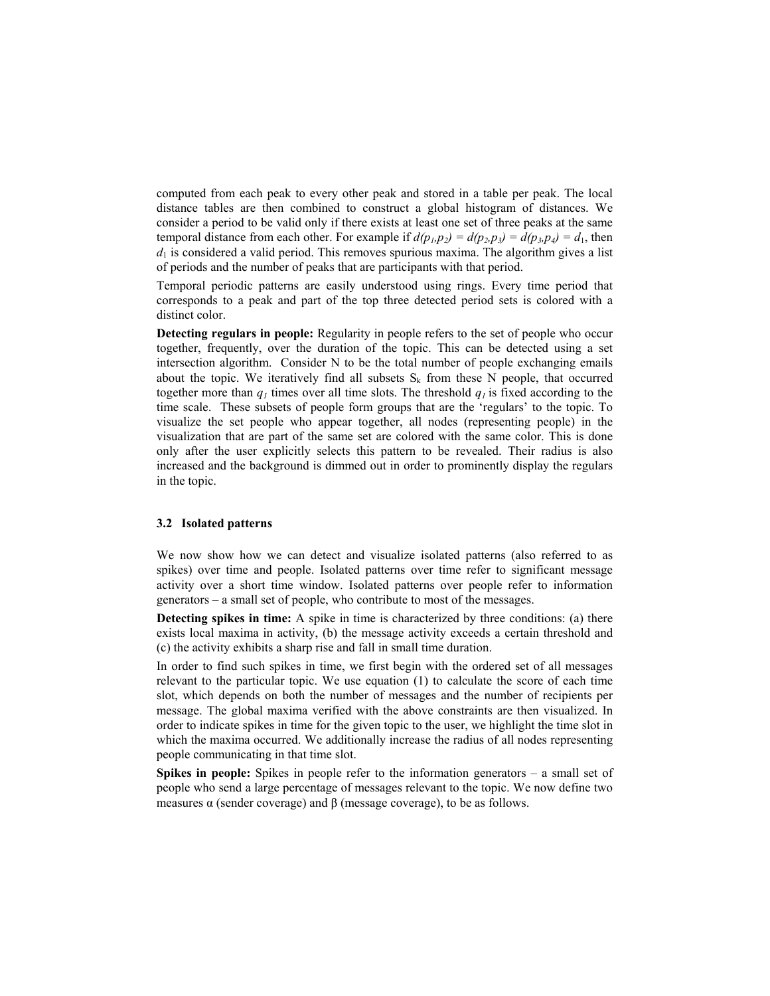computed from each peak to every other peak and stored in a table per peak. The local distance tables are then combined to construct a global histogram of distances. We consider a period to be valid only if there exists at least one set of three peaks at the same temporal distance from each other. For example if  $d(p_1, p_2) = d(p_2, p_3) = d(p_3, p_4) = d_1$ , then  $d_1$  is considered a valid period. This removes spurious maxima. The algorithm gives a list of periods and the number of peaks that are participants with that period.

Temporal periodic patterns are easily understood using rings. Every time period that corresponds to a peak and part of the top three detected period sets is colored with a distinct color.

**Detecting regulars in people:** Regularity in people refers to the set of people who occur together, frequently, over the duration of the topic. This can be detected using a set intersection algorithm. Consider N to be the total number of people exchanging emails about the topic. We iteratively find all subsets  $S_k$  from these N people, that occurred together more than  $q_l$  times over all time slots. The threshold  $q_l$  is fixed according to the time scale. These subsets of people form groups that are the 'regulars' to the topic. To visualize the set people who appear together, all nodes (representing people) in the visualization that are part of the same set are colored with the same color. This is done only after the user explicitly selects this pattern to be revealed. Their radius is also increased and the background is dimmed out in order to prominently display the regulars in the topic.

#### **3.2 Isolated patterns**

We now show how we can detect and visualize isolated patterns (also referred to as spikes) over time and people. Isolated patterns over time refer to significant message activity over a short time window. Isolated patterns over people refer to information generators – a small set of people, who contribute to most of the messages.

**Detecting spikes in time:** A spike in time is characterized by three conditions: (a) there exists local maxima in activity, (b) the message activity exceeds a certain threshold and (c) the activity exhibits a sharp rise and fall in small time duration.

In order to find such spikes in time, we first begin with the ordered set of all messages relevant to the particular topic. We use equation (1) to calculate the score of each time slot, which depends on both the number of messages and the number of recipients per message. The global maxima verified with the above constraints are then visualized. In order to indicate spikes in time for the given topic to the user, we highlight the time slot in which the maxima occurred. We additionally increase the radius of all nodes representing people communicating in that time slot.

**Spikes in people:** Spikes in people refer to the information generators – a small set of people who send a large percentage of messages relevant to the topic. We now define two measures  $\alpha$  (sender coverage) and  $\beta$  (message coverage), to be as follows.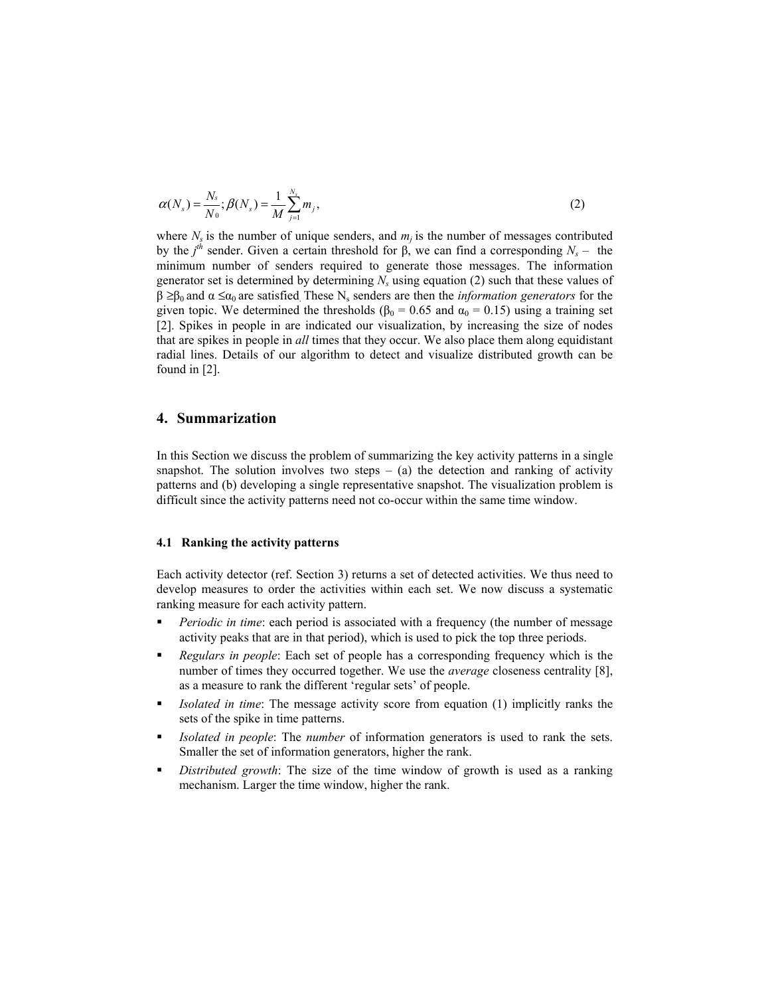$$
\alpha(N_s) = \frac{N_s}{N_0}; \beta(N_s) = \frac{1}{M} \sum_{j=1}^{N_s} m_j,
$$
\n(2)

where  $N_s$  is the number of unique senders, and  $m_j$  is the number of messages contributed by the  $j<sup>th</sup>$  sender. Given a certain threshold for β, we can find a corresponding  $N_s$  – the minimum number of senders required to generate those messages. The information generator set is determined by determining  $N<sub>s</sub>$  using equation (2) such that these values of  $\beta \ge \beta_0$  and  $\alpha \le \alpha_0$  are satisfied. These N<sub>s</sub> senders are then the *information generators* for the given topic. We determined the thresholds ( $\beta_0 = 0.65$  and  $\alpha_0 = 0.15$ ) using a training set [2]. Spikes in people in are indicated our visualization, by increasing the size of nodes that are spikes in people in *all* times that they occur. We also place them along equidistant radial lines. Details of our algorithm to detect and visualize distributed growth can be found in [2].

### **4. Summarization**

In this Section we discuss the problem of summarizing the key activity patterns in a single snapshot. The solution involves two steps  $-$  (a) the detection and ranking of activity patterns and (b) developing a single representative snapshot. The visualization problem is difficult since the activity patterns need not co-occur within the same time window.

#### **4.1 Ranking the activity patterns**

Each activity detector (ref. Section 3) returns a set of detected activities. We thus need to develop measures to order the activities within each set. We now discuss a systematic ranking measure for each activity pattern.

- *Periodic in time:* each period is associated with a frequency (the number of message activity peaks that are in that period), which is used to pick the top three periods.
- *Regulars in people*: Each set of people has a corresponding frequency which is the number of times they occurred together. We use the *average* closeness centrality [8], as a measure to rank the different 'regular sets' of people.
- *Isolated in time*: The message activity score from equation (1) implicitly ranks the sets of the spike in time patterns.
- *Isolated in people*: The *number* of information generators is used to rank the sets. Smaller the set of information generators, higher the rank.
- *Distributed growth*: The size of the time window of growth is used as a ranking mechanism. Larger the time window, higher the rank.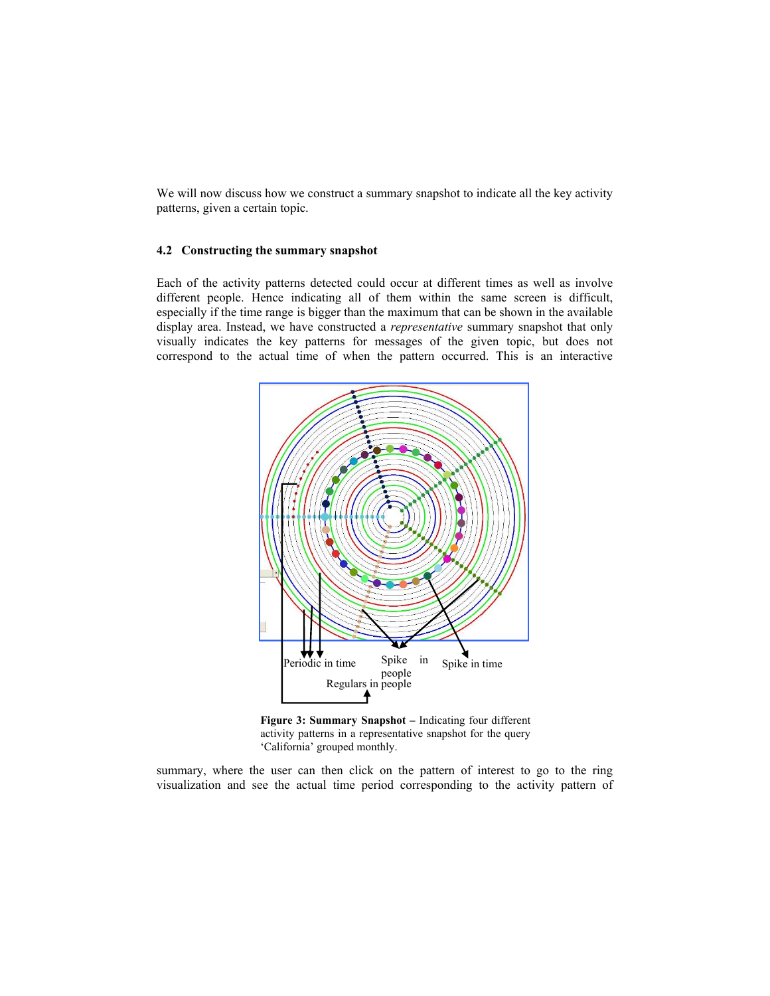We will now discuss how we construct a summary snapshot to indicate all the key activity patterns, given a certain topic.

### **4.2 Constructing the summary snapshot**

Each of the activity patterns detected could occur at different times as well as involve different people. Hence indicating all of them within the same screen is difficult, especially if the time range is bigger than the maximum that can be shown in the available display area. Instead, we have constructed a *representative* summary snapshot that only visually indicates the key patterns for messages of the given topic, but does not correspond to the actual time of when the pattern occurred. This is an interactive



**Figure 3: Summary Snapshot –** Indicating four different activity patterns in a representative snapshot for the query 'California' grouped monthly.

summary, where the user can then click on the pattern of interest to go to the ring visualization and see the actual time period corresponding to the activity pattern of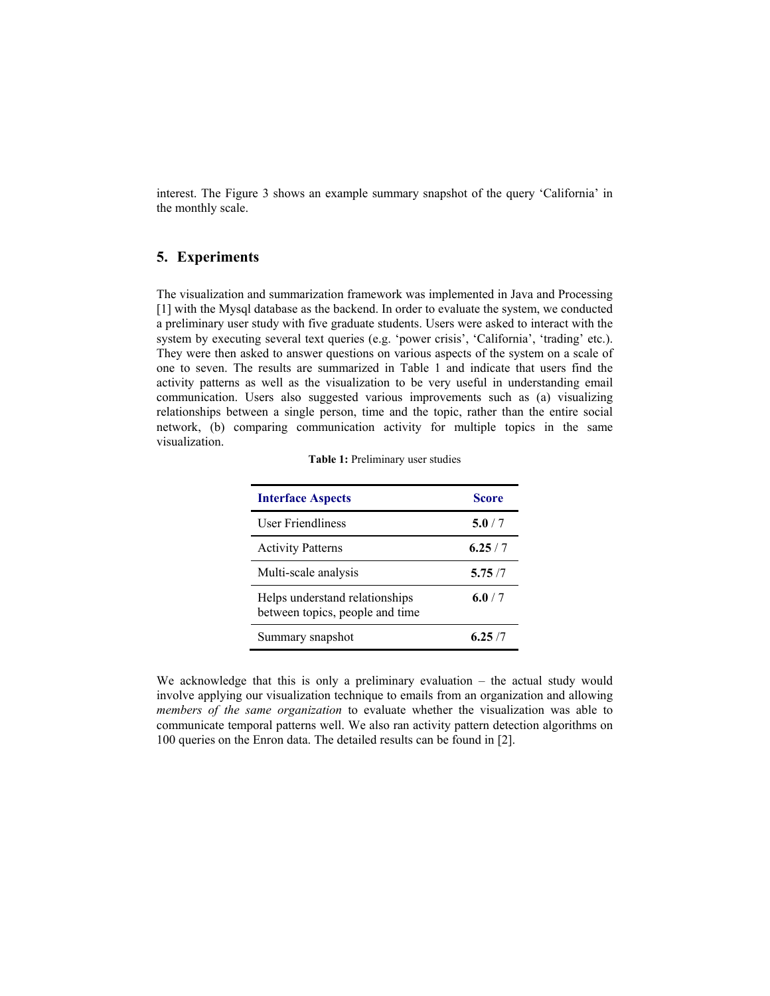interest. The Figure 3 shows an example summary snapshot of the query 'California' in the monthly scale.

# **5. Experiments**

The visualization and summarization framework was implemented in Java and Processing [1] with the Mysql database as the backend. In order to evaluate the system, we conducted a preliminary user study with five graduate students. Users were asked to interact with the system by executing several text queries (e.g. 'power crisis', 'California', 'trading' etc.). They were then asked to answer questions on various aspects of the system on a scale of one to seven. The results are summarized in Table 1 and indicate that users find the activity patterns as well as the visualization to be very useful in understanding email communication. Users also suggested various improvements such as (a) visualizing relationships between a single person, time and the topic, rather than the entire social network, (b) comparing communication activity for multiple topics in the same visualization.

| <b>Table 1:</b> Preliminary user studies |  |  |
|------------------------------------------|--|--|
|------------------------------------------|--|--|

| <b>Interface Aspects</b>                                          | Score   |
|-------------------------------------------------------------------|---------|
| User Friendliness                                                 | 5.0/7   |
| <b>Activity Patterns</b>                                          | 6.25/7  |
| Multi-scale analysis                                              | 5.75 /7 |
| Helps understand relationships<br>between topics, people and time | 6.0 / 7 |
| Summary snapshot                                                  | 6.25/7  |

We acknowledge that this is only a preliminary evaluation – the actual study would involve applying our visualization technique to emails from an organization and allowing *members of the same organization* to evaluate whether the visualization was able to communicate temporal patterns well. We also ran activity pattern detection algorithms on 100 queries on the Enron data. The detailed results can be found in [2].